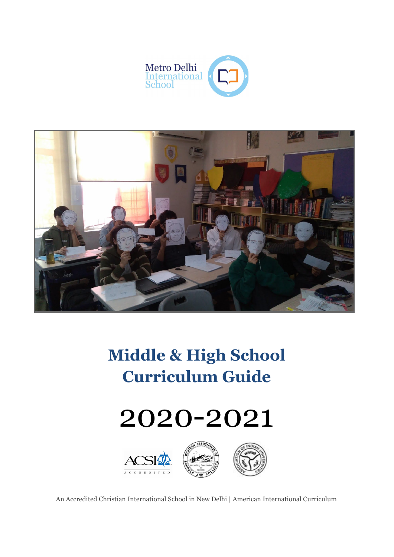



**Middle & High School Curriculum Guide**

# 2020-2021



An Accredited Christian International School in New Delhi | American International Curriculum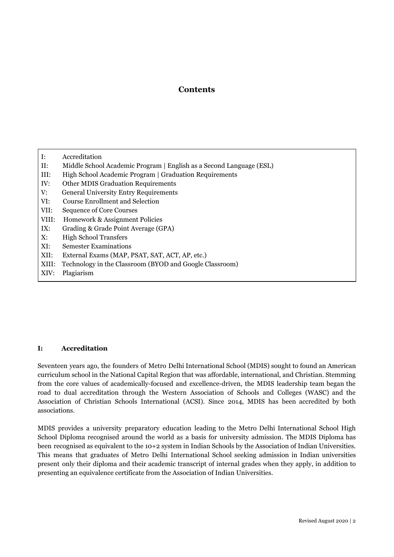# **Contents**

- I: Accreditation
- II: Middle School Academic Program | English as a Second Language (ESL)
- III: High School Academic Program | Graduation Requirements
- IV: Other MDIS Graduation Requirements
- V: General University Entry Requirements
- VI: Course Enrollment and Selection
- VII: Sequence of Core Courses
- VIII: Homework & Assignment Policies
- IX: Grading & Grade Point Average (GPA)
- X: High School Transfers
- XI: Semester Examinations
- XII: External Exams (MAP, PSAT, SAT, ACT, AP, etc.)
- XIII: Technology in the Classroom (BYOD and Google Classroom)
- XIV: Plagiarism

# **I: Accreditation**

Seventeen years ago, the founders of Metro Delhi International School (MDIS) sought to found an American curriculum school in the National Capital Region that was affordable, international, and Christian. Stemming from the core values of academically-focused and excellence-driven, the MDIS leadership team began the road to dual accreditation through the Western Association of Schools and Colleges (WASC) and the Association of Christian Schools International (ACSI). Since 2014, MDIS has been accredited by both associations.

MDIS provides a university preparatory education leading to the Metro Delhi International School High School Diploma recognised around the world as a basis for university admission. The MDIS Diploma has been recognised as equivalent to the 10+2 system in Indian Schools by the Association of Indian Universities. This means that graduates of Metro Delhi International School seeking admission in Indian universities present only their diploma and their academic transcript of internal grades when they apply, in addition to presenting an equivalence certificate from the Association of Indian Universities.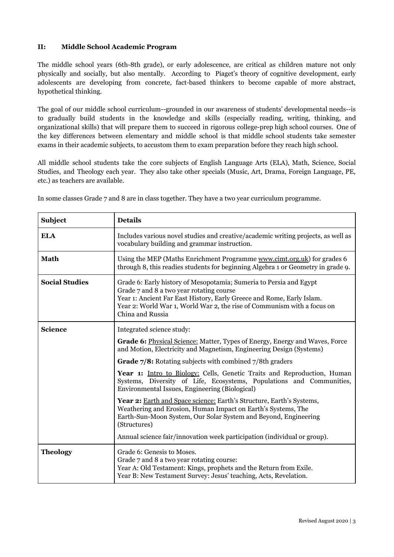# **II: Middle School Academic Program**

The middle school years (6th-8th grade), or early adolescence, are critical as children mature not only physically and socially, but also mentally. According to Piaget's theory of cognitive development, early adolescents are developing from concrete, fact-based thinkers to become capable of more abstract, hypothetical thinking.

The goal of our middle school curriculum--grounded in our awareness of students' developmental needs--is to gradually build students in the knowledge and skills (especially reading, writing, thinking, and organizational skills) that will prepare them to succeed in rigorous college-prep high school courses. One of the key differences between elementary and middle school is that middle school students take semester exams in their academic subjects, to accustom them to exam preparation before they reach high school.

All middle school students take the core subjects of English Language Arts (ELA), Math, Science, Social Studies, and Theology each year. They also take other specials (Music, Art, Drama, Foreign Language, PE, etc.) as teachers are available.

| <b>Subject</b>        | <b>Details</b>                                                                                                                                                                                                                                                                         |
|-----------------------|----------------------------------------------------------------------------------------------------------------------------------------------------------------------------------------------------------------------------------------------------------------------------------------|
| <b>ELA</b>            | Includes various novel studies and creative/academic writing projects, as well as<br>vocabulary building and grammar instruction.                                                                                                                                                      |
| <b>Math</b>           | Using the MEP (Maths Enrichment Programme www.cimt.org.uk) for grades 6<br>through 8, this readies students for beginning Algebra 1 or Geometry in grade 9.                                                                                                                            |
| <b>Social Studies</b> | Grade 6: Early history of Mesopotamia; Sumeria to Persia and Egypt<br>Grade 7 and 8 a two year rotating course<br>Year 1: Ancient Far East History, Early Greece and Rome, Early Islam.<br>Year 2: World War 1, World War 2, the rise of Communism with a focus on<br>China and Russia |
| <b>Science</b>        | Integrated science study:                                                                                                                                                                                                                                                              |
|                       | Grade 6: Physical Science: Matter, Types of Energy, Energy and Waves, Force<br>and Motion, Electricity and Magnetism, Engineering Design (Systems)                                                                                                                                     |
|                       | Grade 7/8: Rotating subjects with combined 7/8th graders                                                                                                                                                                                                                               |
|                       | Year 1: Intro to Biology: Cells, Genetic Traits and Reproduction, Human<br>Systems, Diversity of Life, Ecosystems, Populations and Communities,<br>Environmental Issues, Engineering (Biological)                                                                                      |
|                       | Year 2: Earth and Space science: Earth's Structure, Earth's Systems,<br>Weathering and Erosion, Human Impact on Earth's Systems, The<br>Earth-Sun-Moon System, Our Solar System and Beyond, Engineering<br>(Structures)                                                                |
|                       | Annual science fair/innovation week participation (individual or group).                                                                                                                                                                                                               |
| <b>Theology</b>       | Grade 6: Genesis to Moses.<br>Grade 7 and 8 a two year rotating course:<br>Year A: Old Testament: Kings, prophets and the Return from Exile.<br>Year B: New Testament Survey: Jesus' teaching, Acts, Revelation.                                                                       |

In some classes Grade 7 and 8 are in class together. They have a two year curriculum programme.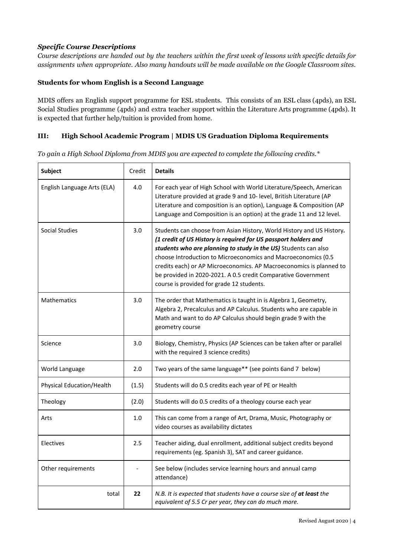# *Specific Course Descriptions*

Course descriptions are handed out by the teachers within the first week of lessons with specific details for *assignments when appropriate. Also many handouts will be made available on the Google Classroom sites.*

# **Students for whom English is a Second Language**

MDIS offers an English support programme for ESL students. This consists of an ESL class (4pds), an ESL Social Studies programme (4pds) and extra teacher support within the Literature Arts programme (4pds). It is expected that further help/tuition is provided from home.

# **III: High School Academic Program | MDIS US Graduation Diploma Requirements**

*To gain a High School Diploma from MDIS you are expected to complete the following credits.\**

| <b>Subject</b>              | Credit | <b>Details</b>                                                                                                                                                                                                                                                                                                                                                                                                                                                    |
|-----------------------------|--------|-------------------------------------------------------------------------------------------------------------------------------------------------------------------------------------------------------------------------------------------------------------------------------------------------------------------------------------------------------------------------------------------------------------------------------------------------------------------|
| English Language Arts (ELA) | 4.0    | For each year of High School with World Literature/Speech, American<br>Literature provided at grade 9 and 10- level, British Literature (AP<br>Literature and composition is an option), Language & Composition (AP<br>Language and Composition is an option) at the grade 11 and 12 level.                                                                                                                                                                       |
| Social Studies              | 3.0    | Students can choose from Asian History, World History and US History.<br>(1 credit of US History is required for US passport holders and<br>students who are planning to study in the US) Students can also<br>choose Introduction to Microeconomics and Macroeconomics (0.5<br>credits each) or AP Microeconomics. AP Macroeconomics is planned to<br>be provided in 2020-2021. A 0.5 credit Comparative Government<br>course is provided for grade 12 students. |
| <b>Mathematics</b>          | 3.0    | The order that Mathematics is taught in is Algebra 1, Geometry,<br>Algebra 2, Precalculus and AP Calculus. Students who are capable in<br>Math and want to do AP Calculus should begin grade 9 with the<br>geometry course                                                                                                                                                                                                                                        |
| Science                     | 3.0    | Biology, Chemistry, Physics (AP Sciences can be taken after or parallel<br>with the required 3 science credits)                                                                                                                                                                                                                                                                                                                                                   |
| World Language              | 2.0    | Two years of the same language** (see points 6and 7 below)                                                                                                                                                                                                                                                                                                                                                                                                        |
| Physical Education/Health   | (1.5)  | Students will do 0.5 credits each year of PE or Health                                                                                                                                                                                                                                                                                                                                                                                                            |
| Theology                    | (2.0)  | Students will do 0.5 credits of a theology course each year                                                                                                                                                                                                                                                                                                                                                                                                       |
| Arts                        | 1.0    | This can come from a range of Art, Drama, Music, Photography or<br>video courses as availability dictates                                                                                                                                                                                                                                                                                                                                                         |
| Electives                   | 2.5    | Teacher aiding, dual enrollment, additional subject credits beyond<br>requirements (eg. Spanish 3), SAT and career guidance.                                                                                                                                                                                                                                                                                                                                      |
| Other requirements          |        | See below (includes service learning hours and annual camp<br>attendance)                                                                                                                                                                                                                                                                                                                                                                                         |
| total                       | 22     | N.B. It is expected that students have a course size of at least the<br>equivalent of 5.5 Cr per year, they can do much more.                                                                                                                                                                                                                                                                                                                                     |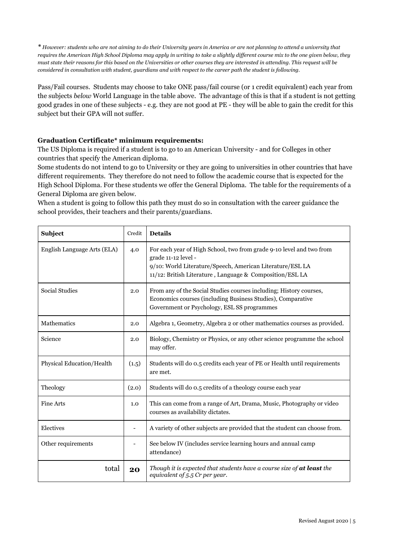\* However: students who are not aiming to do their University years in America or are not planning to attend a university that requires the American High School Diploma may apply in writing to take a slightly different course mix to the one given below, they must state their reasons for this based on the Universities or other courses they are interested in attending. This request will be considered in consultation with student, guardians and with respect to the career path the student is following.

Pass/Fail courses. Students may choose to take ONE pass/fail course (or 1 credit equivalent) each year from the subjects *below* World Language in the table above. The advantage of this is that if a student is not getting good grades in one of these subjects - e.g. they are not good at PE - they will be able to gain the credit for this subject but their GPA will not suffer.

# **Graduation Certificate\* minimum requirements:**

The US Diploma is required if a student is to go to an American University - and for Colleges in other countries that specify the American diploma.

Some students do not intend to go to University or they are going to universities in other countries that have different requirements. They therefore do not need to follow the academic course that is expected for the High School Diploma. For these students we offer the General Diploma. The table for the requirements of a General Diploma are given below.

When a student is going to follow this path they must do so in consultation with the career guidance the school provides, their teachers and their parents/guardians.

| Subject                     | Credit | <b>Details</b>                                                                                                                                                                                                       |
|-----------------------------|--------|----------------------------------------------------------------------------------------------------------------------------------------------------------------------------------------------------------------------|
| English Language Arts (ELA) | 4.0    | For each year of High School, two from grade 9-10 level and two from<br>grade 11-12 level -<br>9/10: World Literature/Speech, American Literature/ESL LA<br>11/12: British Literature, Language & Composition/ESL LA |
| <b>Social Studies</b>       | 2.0    | From any of the Social Studies courses including; History courses,<br>Economics courses (including Business Studies), Comparative<br>Government or Psychology, ESL SS programmes                                     |
| Mathematics                 | 2.0    | Algebra 1, Geometry, Algebra 2 or other mathematics courses as provided.                                                                                                                                             |
| Science                     | 2.0    | Biology, Chemistry or Physics, or any other science programme the school<br>may offer.                                                                                                                               |
| Physical Education/Health   | (1.5)  | Students will do 0.5 credits each year of PE or Health until requirements<br>are met.                                                                                                                                |
| Theology                    | (2.0)  | Students will do 0.5 credits of a theology course each year                                                                                                                                                          |
| <b>Fine Arts</b>            | 1.0    | This can come from a range of Art, Drama, Music, Photography or video<br>courses as availability dictates.                                                                                                           |
| Electives                   |        | A variety of other subjects are provided that the student can choose from.                                                                                                                                           |
| Other requirements          |        | See below IV (includes service learning hours and annual camp<br>attendance)                                                                                                                                         |
| total                       | 20     | Though it is expected that students have a course size of at least the<br>equivalent of $5.5$ Cr per year.                                                                                                           |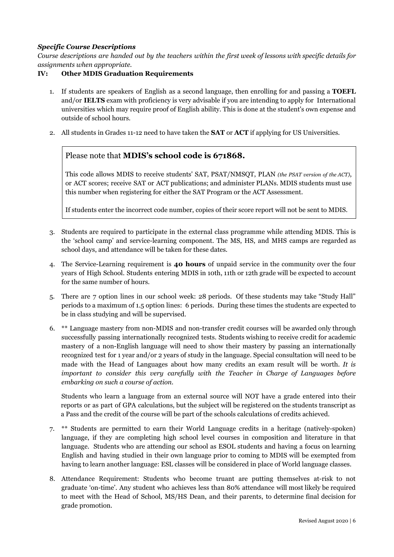# *Specific Course Descriptions*

Course descriptions are handed out by the teachers within the first week of lessons with specific details for *assignments when appropriate.*

# **IV: Other MDIS Graduation Requirements**

- 1. If students are speakers of English as a second language, then enrolling for and passing a **TOEFL** and/or **IELTS** exam with proficiency is very advisable if you are intending to apply for International universities which may require proof of English ability. This is done at the student's own expense and outside of school hours.
- 2. All students in Grades 11-12 need to have taken the **SAT** or **ACT** if applying for US Universities.

# Please note that **MDIS's school code is 671868.**

This code allows MDIS to receive students' SAT, PSAT/NMSQT, PLAN *(the PSAT version of the ACT)*, or ACT scores; receive SAT or ACT publications; and administer PLANs. MDIS students must use this number when registering for either the SAT Program or the ACT Assessment.

If students enter the incorrect code number, copies of their score report will not be sent to MDIS.

- 3. Students are required to participate in the external class programme while attending MDIS. This is the 'school camp' and service-learning component. The MS, HS, and MHS camps are regarded as school days, and attendance will be taken for these dates.
- 4. The Service-Learning requirement is **40 hours** of unpaid service in the community over the four years of High School. Students entering MDIS in 10th, 11th or 12th grade will be expected to account for the same number of hours.
- 5. There are 7 option lines in our school week: 28 periods. Of these students may take "Study Hall" periods to a maximum of 1.5 option lines: 6 periods. During these times the students are expected to be in class studying and will be supervised.
- 6. \*\* Language mastery from non-MDIS and non-transfer credit courses will be awarded only through successfully passing internationally recognized tests. Students wishing to receive credit for academic mastery of a non-English language will need to show their mastery by passing an internationally recognized test for 1 year and/or 2 years of study in the language. Special consultation will need to be made with the Head of Languages about how many credits an exam result will be worth. *It is important to consider this very carefully with the Teacher in Charge of Languages before embarking on such a course of action.*

Students who learn a language from an external source will NOT have a grade entered into their reports or as part of GPA calculations, but the subject will be registered on the students transcript as a Pass and the credit of the course will be part of the schools calculations of credits achieved.

- 7. \*\* Students are permitted to earn their World Language credits in a heritage (natively-spoken) language, if they are completing high school level courses in composition and literature in that language. Students who are attending our school as ESOL students and having a focus on learning English and having studied in their own language prior to coming to MDIS will be exempted from having to learn another language: ESL classes will be considered in place of World language classes.
- 8. Attendance Requirement: Students who become truant are putting themselves at-risk to not graduate 'on-time'. Any student who achieves less than 80% attendance will most likely be required to meet with the Head of School, MS/HS Dean, and their parents, to determine final decision for grade promotion.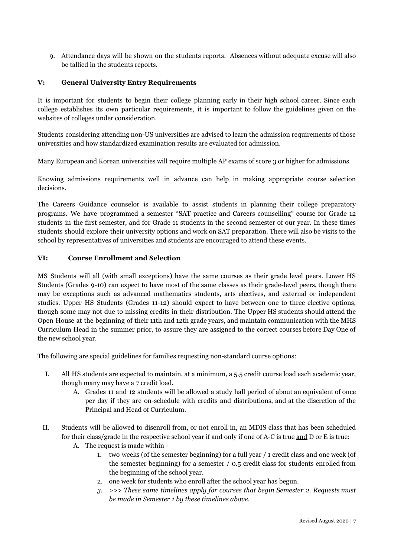9. Attendance days will be shown on the students reports. Absences without adequate excuse will also be tallied in the students reports.

# **V: General University Entry Requirements**

It is important for students to begin their college planning early in their high school career. Since each college establishes its own particular requirements, it is important to follow the guidelines given on the websites of colleges under consideration.

Students considering attending non-US universities are advised to learn the admission requirements of those universities and how standardized examination results are evaluated for admission.

Many European and Korean universities will require multiple AP exams of score 3 or higher for admissions.

Knowing admissions requirements well in advance can help in making appropriate course selection decisions.

The Careers Guidance counselor is available to assist students in planning their college preparatory programs. We have programmed a semester "SAT practice and Careers counselling" course for Grade 12 students in the first semester, and for Grade 11 students in the second semester of our year. In these times students should explore their university options and work on SAT preparation. There will also be visits to the school by representatives of universities and students are encouraged to attend these events.

# **VI: Course Enrollment and Selection**

MS Students will all (with small exceptions) have the same courses as their grade level peers. Lower HS Students (Grades 9-10) can expect to have most of the same classes as their grade-level peers, though there may be exceptions such as advanced mathematics students, arts electives, and external or independent studies. Upper HS Students (Grades 11-12) should expect to have between one to three elective options, though some may not due to missing credits in their distribution. The Upper HS students should attend the Open House at the beginning of their 11th and 12th grade years, and maintain communication with the MHS Curriculum Head in the summer prior, to assure they are assigned to the correct courses before Day One of the new school year.

The following are special guidelines for families requesting non-standard course options:

- I. All HS students are expected to maintain, at a minimum, a 5.5 credit course load each academic year, though many may have a 7 credit load.
	- A. Grades 11 and 12 students will be allowed a study hall period of about an equivalent of once per day if they are on-schedule with credits and distributions, and at the discretion of the Principal and Head of Curriculum.
- II. Students will be allowed to disenroll from, or not enroll in, an MDIS class that has been scheduled for their class/grade in the respective school year if and only if one of A-C is true and D or E is true:
	- A. The request is made within
		- 1. two weeks (of the semester beginning) for a full year / 1 credit class and one week (of the semester beginning) for a semester / 0.5 credit class for students enrolled from the beginning of the school year.
		- 2. one week for students who enroll after the school year has begun.
		- *3. >>> These same timelines apply for courses that begin Semester 2. Requests must be made in Semester 1 by these timelines above.*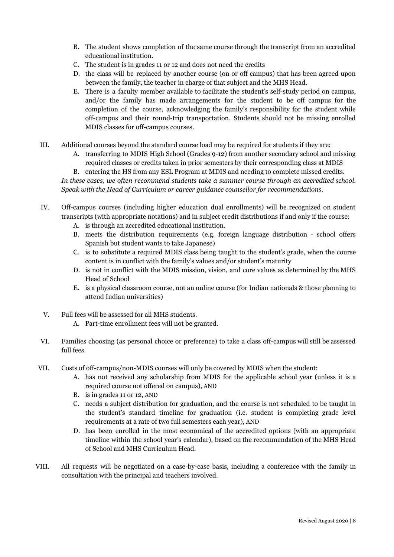- B. The student shows completion of the same course through the transcript from an accredited educational institution.
- C. The student is in grades 11 or 12 and does not need the credits
- D. the class will be replaced by another course (on or off campus) that has been agreed upon between the family, the teacher in charge of that subject and the MHS Head.
- E. There is a faculty member available to facilitate the student's self-study period on campus, and/or the family has made arrangements for the student to be off campus for the completion of the course, acknowledging the family's responsibility for the student while off-campus and their round-trip transportation. Students should not be missing enrolled MDIS classes for off-campus courses.
- III. Additional courses beyond the standard course load may be required for students if they are:
	- A. transferring to MDIS High School (Grades 9-12) from another secondary school and missing required classes or credits taken in prior semesters by their corresponding class at MDIS

B. entering the HS from any ESL Program at MDIS and needing to complete missed credits. *In these cases, we often recommend students take a summer course through an accredited school. Speak with the Head of Curriculum or career guidance counsellor for recommendations.*

- IV. Off-campus courses (including higher education dual enrollments) will be recognized on student transcripts (with appropriate notations) and in subject credit distributions if and only if the course:
	- A. is through an accredited educational institution.
	- B. meets the distribution requirements (e.g. foreign language distribution school offers Spanish but student wants to take Japanese)
	- C. is to substitute a required MDIS class being taught to the student's grade, when the course content is in conflict with the family's values and/or student's maturity
	- D. is not in conflict with the MDIS mission, vision, and core values as determined by the MHS Head of School
	- E. is a physical classroom course, not an online course (for Indian nationals & those planning to attend Indian universities)
- V. Full fees will be assessed for all MHS students.
	- A. Part-time enrollment fees will not be granted.
- VI. Families choosing (as personal choice or preference) to take a class off-campus will still be assessed full fees.
- VII. Costs of off-campus/non-MDIS courses will only be covered by MDIS when the student:
	- A. has not received any scholarship from MDIS for the applicable school year (unless it is a required course not offered on campus), AND
	- B. is in grades 11 or 12, AND
	- C. needs a subject distribution for graduation, and the course is not scheduled to be taught in the student's standard timeline for graduation (i.e. student is completing grade level requirements at a rate of two full semesters each year), AND
	- D. has been enrolled in the most economical of the accredited options (with an appropriate timeline within the school year's calendar), based on the recommendation of the MHS Head of School and MHS Curriculum Head.
- VIII. All requests will be negotiated on a case-by-case basis, including a conference with the family in consultation with the principal and teachers involved.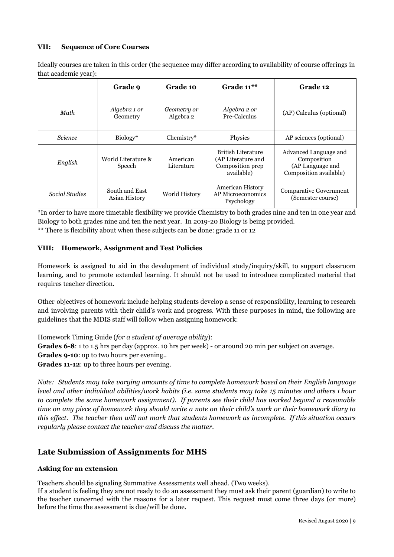# **VII: Sequence of Core Courses**

Ideally courses are taken in this order (the sequence may differ according to availability of course offerings in that academic year):

|                | Grade 9                         | Grade 10                 | Grade $11***$                                                              | Grade 12                                                                           |
|----------------|---------------------------------|--------------------------|----------------------------------------------------------------------------|------------------------------------------------------------------------------------|
| Math           | Algebra 1 or<br>Geometry        | Geometry or<br>Algebra 2 | Algebra 2 or<br>Pre-Calculus                                               | (AP) Calculus (optional)                                                           |
| <b>Science</b> | Biology*                        | Chemistry*               | Physics                                                                    | AP sciences (optional)                                                             |
| English        | World Literature &<br>Speech    | American<br>Literature   | British Literature<br>(AP Literature and<br>Composition prep<br>available) | Advanced Language and<br>Composition<br>(AP Language and<br>Composition available) |
| Social Studies | South and East<br>Asian History | World History            | <b>American History</b><br>AP Microeconomics<br>Psychology                 | <b>Comparative Government</b><br>(Semester course)                                 |

\*In order to have more timetable flexibility we provide Chemistry to both grades nine and ten in one year and Biology to both grades nine and ten the next year. In 2019-20 Biology is being provided. \*\* There is flexibility about when these subjects can be done: grade 11 or 12

# **VIII: Homework, Assignment and Test Policies**

Homework is assigned to aid in the development of individual study/inquiry/skill, to support classroom learning, and to promote extended learning. It should not be used to introduce complicated material that requires teacher direction.

Other objectives of homework include helping students develop a sense of responsibility, learning to research and involving parents with their child's work and progress. With these purposes in mind, the following are guidelines that the MDIS staff will follow when assigning homework:

Homework Timing Guide (*for a student of average ability*):

**Grades 6-8**: 1 to 1.5 hrs per day (approx. 10 hrs per week) - or around 20 min per subject on average.

**Grades 9-10**: up to two hours per evening..

**Grades 11-12**: up to three hours per evening.

*Note: Students may take varying amounts of time to complete homework based on their English language* level and other individual abilities/work habits (i.e. some students may take 15 minutes and others 1 hour *to complete the same homework assignment). If parents see their child has worked beyond a reasonable* time on any piece of homework they should write a note on their child's work or their homework diary to this effect. The teacher then will not mark that students homework as incomplete. If this situation occurs *regularly please contact the teacher and discuss the matter.*

# **Late Submission of Assignments for MHS**

# **Asking for an extension**

Teachers should be signaling Summative Assessments well ahead. (Two weeks).

If a student is feeling they are not ready to do an assessment they must ask their parent (guardian) to write to the teacher concerned with the reasons for a later request. This request must come three days (or more) before the time the assessment is due/will be done.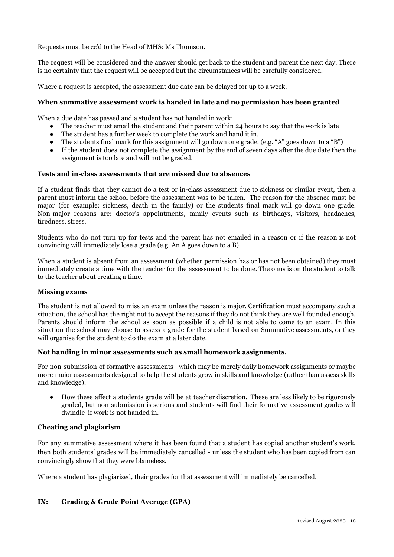Requests must be cc'd to the Head of MHS: Ms Thomson.

The request will be considered and the answer should get back to the student and parent the next day. There is no certainty that the request will be accepted but the circumstances will be carefully considered.

Where a request is accepted, the assessment due date can be delayed for up to a week.

### **When summative assessment work is handed in late and no permission has been granted**

When a due date has passed and a student has not handed in work:

- The teacher must email the student and their parent within 24 hours to say that the work is late
- The student has a further week to complete the work and hand it in.
- The students final mark for this assignment will go down one grade. (e.g. "A" goes down to a "B")
- If the student does not complete the assignment by the end of seven days after the due date then the assignment is too late and will not be graded.

### **Tests and in-class assessments that are missed due to absences**

If a student finds that they cannot do a test or in-class assessment due to sickness or similar event, then a parent must inform the school before the assessment was to be taken. The reason for the absence must be major (for example: sickness, death in the family) or the students final mark will go down one grade. Non-major reasons are: doctor's appointments, family events such as birthdays, visitors, headaches, tiredness, stress.

Students who do not turn up for tests and the parent has not emailed in a reason or if the reason is not convincing will immediately lose a grade (e.g. An A goes down to a B).

When a student is absent from an assessment (whether permission has or has not been obtained) they must immediately create a time with the teacher for the assessment to be done. The onus is on the student to talk to the teacher about creating a time.

#### **Missing exams**

The student is not allowed to miss an exam unless the reason is major. Certification must accompany such a situation, the school has the right not to accept the reasons if they do not think they are well founded enough. Parents should inform the school as soon as possible if a child is not able to come to an exam. In this situation the school may choose to assess a grade for the student based on Summative assessments, or they will organise for the student to do the exam at a later date.

#### **Not handing in minor assessments such as small homework assignments.**

For non-submission of formative assessments - which may be merely daily homework assignments or maybe more major assessments designed to help the students grow in skills and knowledge (rather than assess skills and knowledge):

● How these affect a students grade will be at teacher discretion. These are less likely to be rigorously graded, but non-submission is serious and students will find their formative assessment grades will dwindle if work is not handed in.

# **Cheating and plagiarism**

For any summative assessment where it has been found that a student has copied another student's work, then both students' grades will be immediately cancelled - unless the student who has been copied from can convincingly show that they were blameless.

Where a student has plagiarized, their grades for that assessment will immediately be cancelled.

# **IX: Grading & Grade Point Average (GPA)**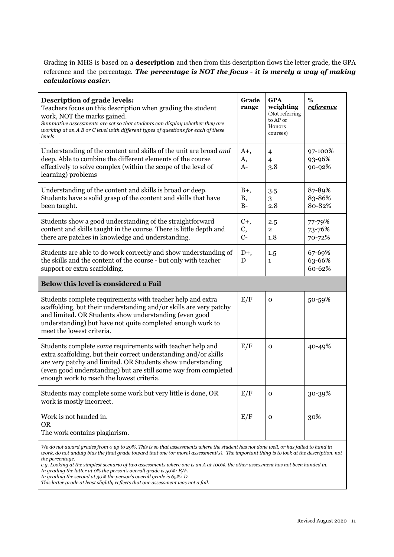Grading in MHS is based on a **description** and then from this description flows the letter grade, the GPA reference and the percentage. *The percentage is NOT the focus - it is merely a way of making calculations easier.*

| Description of grade levels:<br>Teachers focus on this description when grading the student<br>work, NOT the marks gained.<br>Summative assessments are set so that students can display whether they are<br>working at an A B or C level with different types of questions for each of these<br>levels      | Grade<br>range              | <b>GPA</b><br>weighting<br>(Not referring<br>to AP or<br>Honors<br>courses) | %<br><u>reference</u>       |
|--------------------------------------------------------------------------------------------------------------------------------------------------------------------------------------------------------------------------------------------------------------------------------------------------------------|-----------------------------|-----------------------------------------------------------------------------|-----------------------------|
| Understanding of the content and skills of the unit are broad and<br>deep. Able to combine the different elements of the course<br>effectively to solve complex (within the scope of the level of<br>learning) problems                                                                                      | $A^+,$<br>A,<br>$A-$        | 4<br>4<br>3.8                                                               | 97-100%<br>93-96%<br>90-92% |
| Understanding of the content and skills is broad or deep.<br>Students have a solid grasp of the content and skills that have<br>been taught.                                                                                                                                                                 | $B+,$<br><b>B</b> ,<br>$B-$ | 3.5<br>3<br>2.8                                                             | 87-89%<br>83-86%<br>80-82%  |
| Students show a good understanding of the straightforward<br>content and skills taught in the course. There is little depth and<br>there are patches in knowledge and understanding.                                                                                                                         | $C_{+}$<br>C,<br>$C-$       | 2.5<br>$\overline{2}$<br>1.8                                                | 77-79%<br>73-76%<br>70-72%  |
| Students are able to do work correctly and show understanding of<br>the skills and the content of the course - but only with teacher<br>support or extra scaffolding.                                                                                                                                        | $D^+,$<br>D                 | 1.5<br>1                                                                    | 67-69%<br>63-66%<br>60-62%  |
| Below this level is considered a Fail                                                                                                                                                                                                                                                                        |                             |                                                                             |                             |
| Students complete requirements with teacher help and extra<br>scaffolding, but their understanding and/or skills are very patchy<br>and limited. OR Students show understanding (even good<br>understanding) but have not quite completed enough work to<br>meet the lowest criteria.                        | E/F                         | 0                                                                           | 50-59%                      |
| Students complete some requirements with teacher help and<br>extra scaffolding, but their correct understanding and/or skills<br>are very patchy and limited. OR Students show understanding<br>(even good understanding) but are still some way from completed<br>enough work to reach the lowest criteria. | E/F                         | 0                                                                           | 40-49%                      |
| Students may complete some work but very little is done, OR<br>work is mostly incorrect.                                                                                                                                                                                                                     | E/F                         | $\mathbf 0$                                                                 | 30-39%                      |
| Work is not handed in.<br><b>OR</b><br>The work contains plagiarism.                                                                                                                                                                                                                                         | E/F                         | 0                                                                           | 30%                         |
| We do not award arades from 0 up to 20%. This is so that assessments where the student has not done well, or has failed to hand in                                                                                                                                                                           |                             |                                                                             |                             |

*We do not award grades from 0 up to 29%. This is so that assessments where the student has not done well, or has failed to hand in work, do not unduly bias the final grade toward that one (or more) assessment(s). The important thing is to look at the description, not the percentage.*

*e.g. Looking at the simplest scenario of two assessments where one is an A at 100%, the other assessment has not been handed in. In grading the latter at 0% the person's overall grade is 50%: E/F.*

*In grading the second at 30% the person's overall grade is 65%: D.*

*This latter grade at least slightly reflects that one assessment was not a fail.*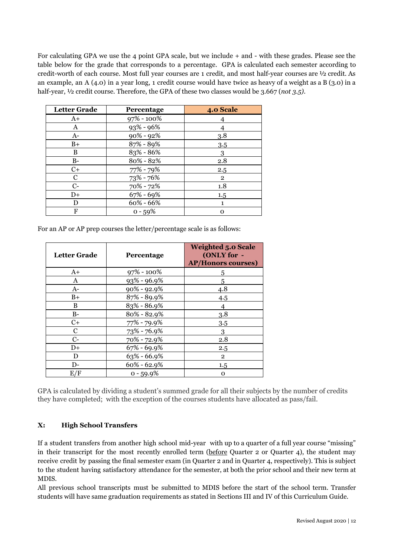For calculating GPA we use the 4 point GPA scale, but we include + and - with these grades. Please see the table below for the grade that corresponds to a percentage. GPA is calculated each semester according to credit-worth of each course. Most full year courses are 1 credit, and most half-year courses are ½ credit. As an example, an A (4.0) in a year long, 1 credit course would have twice as heavy of a weight as a B (3.0) in a half-year, ½ credit course. Therefore, the GPA of these two classes would be 3.667 (*not 3.5)*.

| <b>Letter Grade</b> | Percentage     | 4.0 Scale    |
|---------------------|----------------|--------------|
| $A+$                | $97\% - 100\%$ |              |
| A                   | $93\% - 96\%$  |              |
| $A-$                | $90\% - 92\%$  | 3.8          |
| $B+$                | 87% - 89%      | 3.5          |
| B                   | 83% - 86%      | 3            |
| $B-$                | 80% - 82%      | 2.8          |
| $C+$                | 77% - 79%      | 2.5          |
| C                   | 73% - 76%      | $\mathbf{2}$ |
| $C-$                | 70% - 72%      | 1.8          |
| $D+$                | $67\% - 69\%$  | 1.5          |
| D                   | $60\% - 66\%$  | 1            |
| F                   | $0 - 59%$      | Ω            |

For an AP or AP prep courses the letter/percentage scale is as follows:

| <b>Letter Grade</b> | <b>Percentage</b> | <b>Weighted 5.0 Scale</b><br>(ONLY for -<br><b>AP/Honors courses)</b> |
|---------------------|-------------------|-----------------------------------------------------------------------|
| $A+$                | $97\% - 100\%$    | 5                                                                     |
| A                   | $93\% - 96.9\%$   | 5                                                                     |
| $A-$                | $90\% - 92.9\%$   | 4.8                                                                   |
| $B+$                | 87% - 89.9%       | 4.5                                                                   |
| B                   | $83\% - 86.9\%$   |                                                                       |
| $B-$                | $80\% - 82.9\%$   | 3.8                                                                   |
| $C+$                | 77% - 79.9%       | 3.5                                                                   |
| C                   | 73% - 76.9%       | 3                                                                     |
| $C-$                | 70% - 72.9%       | 2.8                                                                   |
| $D+$                | $67\% - 69.9\%$   | 2.5                                                                   |
| D                   | $63\% - 66.9\%$   | $\overline{2}$                                                        |
| D-                  | $60\% - 62.9\%$   | 1.5                                                                   |
| E/F                 | $0 - 59.9%$       | $\Omega$                                                              |

GPA is calculated by dividing a student's summed grade for all their subjects by the number of credits they have completed; with the exception of the courses students have allocated as pass/fail.

# **X: High School Transfers**

If a student transfers from another high school mid-year with up to a quarter of a full year course "missing" in their transcript for the most recently enrolled term (before Quarter 2 or Quarter 4), the student may receive credit by passing the final semester exam (in Quarter 2 and in Quarter 4, respectively). This is subject to the student having satisfactory attendance for the semester, at both the prior school and their new term at MDIS.

All previous school transcripts must be submitted to MDIS before the start of the school term. Transfer students will have same graduation requirements as stated in Sections III and IV of this Curriculum Guide.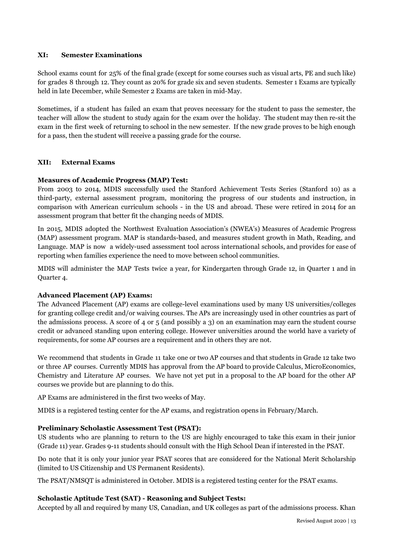# **XI: Semester Examinations**

School exams count for 25% of the final grade (except for some courses such as visual arts, PE and such like) for grades 8 through 12. They count as 20% for grade six and seven students. Semester 1 Exams are typically held in late December, while Semester 2 Exams are taken in mid-May.

Sometimes, if a student has failed an exam that proves necessary for the student to pass the semester, the teacher will allow the student to study again for the exam over the holiday. The student may then re-sit the exam in the first week of returning to school in the new semester. If the new grade proves to be high enough for a pass, then the student will receive a passing grade for the course.

# **XII: External Exams**

# **Measures of Academic Progress (MAP) Test:**

From 2003 to 2014, MDIS successfully used the Stanford Achievement Tests Series (Stanford 10) as a third-party, external assessment program, monitoring the progress of our students and instruction, in comparison with American curriculum schools - in the US and abroad. These were retired in 2014 for an assessment program that better fit the changing needs of MDIS.

In 2015, MDIS adopted the Northwest Evaluation Association's (NWEA's) Measures of Academic Progress (MAP) assessment program. MAP is standards-based, and measures student growth in Math, Reading, and Language. MAP is now a widely-used assessment tool across international schools, and provides for ease of reporting when families experience the need to move between school communities.

MDIS will administer the MAP Tests twice a year, for Kindergarten through Grade 12, in Quarter 1 and in Quarter 4.

# **Advanced Placement (AP) Exams:**

The Advanced Placement (AP) exams are college-level examinations used by many US universities/colleges for granting college credit and/or waiving courses. The APs are increasingly used in other countries as part of the admissions process. A score of 4 or 5 (and possibly a 3) on an examination may earn the student course credit or advanced standing upon entering college. However universities around the world have a variety of requirements, for some AP courses are a requirement and in others they are not.

We recommend that students in Grade 11 take one or two AP courses and that students in Grade 12 take two or three AP courses. Currently MDIS has approval from the AP board to provide Calculus, MicroEconomics, Chemistry and Literature AP courses. We have not yet put in a proposal to the AP board for the other AP courses we provide but are planning to do this.

AP Exams are administered in the first two weeks of May.

MDIS is a registered testing center for the AP exams, and registration opens in February/March.

# **Preliminary Scholastic Assessment Test (PSAT):**

US students who are planning to return to the US are highly encouraged to take this exam in their junior (Grade 11) year. Grades 9-11 students should consult with the High School Dean if interested in the PSAT.

Do note that it is only your junior year PSAT scores that are considered for the National Merit Scholarship (limited to US Citizenship and US Permanent Residents).

The PSAT/NMSQT is administered in October. MDIS is a registered testing center for the PSAT exams.

# **Scholastic Aptitude Test (SAT) - Reasoning and Subject Tests:**

Accepted by all and required by many US, Canadian, and UK colleges as part of the admissions process. Khan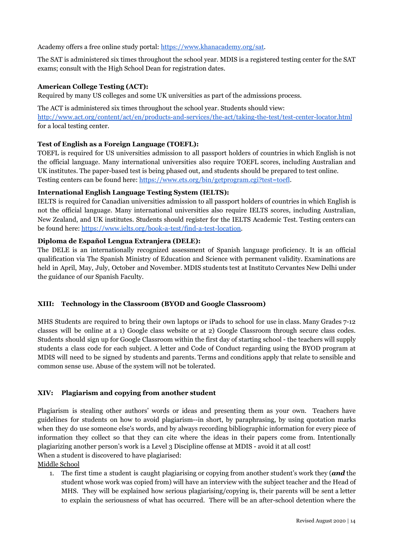Academy offers a free online study portal: <https://www.khanacademy.org/sat>.

The SAT is administered six times throughout the school year. MDIS is a registered testing center for the SAT exams; consult with the High School Dean for registration dates.

# **American College Testing (ACT):**

Required by many US colleges and some UK universities as part of the admissions process.

The ACT is administered six times throughout the school year. Students should view: <http://www.act.org/content/act/en/products-and-services/the-act/taking-the-test/test-center-locator.html> for a local testing center.

# **Test of English as a Foreign Language (TOEFL):**

TOEFL is required for US universities admission to all passport holders of countries in which English is not the official language. Many international universities also require TOEFL scores, including Australian and UK institutes. The paper-based test is being phased out, and students should be prepared to test online. Testing centers can be found here: <https://www.ets.org/bin/getprogram.cgi?test=toefl>.

# **International English Language Testing System (IELTS):**

IELTS is required for Canadian universities admission to all passport holders of countries in which English is not the official language. Many international universities also require IELTS scores, including Australian, New Zealand, and UK institutes. Students should register for the IELTS Academic Test. Testing centers can be found here: [https://www.ielts.org/book-a-test/find-a-test-location.](https://www.ielts.org/book-a-test/find-a-test-location)

# **Diploma de Español Lengua Extranjera (DELE):**

The DELE is an internationally recognized assessment of Spanish language proficiency. It is an official qualification via The Spanish Ministry of Education and Science with permanent validity. Examinations are held in April, May, July, October and November. MDIS students test at Instituto Cervantes New Delhi under the guidance of our Spanish Faculty.

# **XIII: Technology in the Classroom (BYOD and Google Classroom)**

MHS Students are required to bring their own laptops or iPads to school for use in class. Many Grades 7-12 classes will be online at a 1) Google class website or at 2) Google Classroom through secure class codes. Students should sign up for Google Classroom within the first day of starting school - the teachers will supply students a class code for each subject. A letter and Code of Conduct regarding using the BYOD program at MDIS will need to be signed by students and parents. Terms and conditions apply that relate to sensible and common sense use. Abuse of the system will not be tolerated.

# **XIV: Plagiarism and copying from another student**

Plagiarism is stealing other authors' words or ideas and presenting them as your own. Teachers have guidelines for students on how to avoid plagiarism--in short, by paraphrasing, by using quotation marks when they do use someone else's words, and by always recording bibliographic information for every piece of information they collect so that they can cite where the ideas in their papers come from. Intentionally plagiarizing another person's work is a Level 3 Discipline offense at MDIS - avoid it at all cost! When a student is discovered to have plagiarised:

Middle School

1. The first time a student is caught plagiarising or copying from another student's work they (*and* the student whose work was copied from) will have an interview with the subject teacher and the Head of MHS. They will be explained how serious plagiarising/copying is, their parents will be sent a letter to explain the seriousness of what has occurred. There will be an after-school detention where the